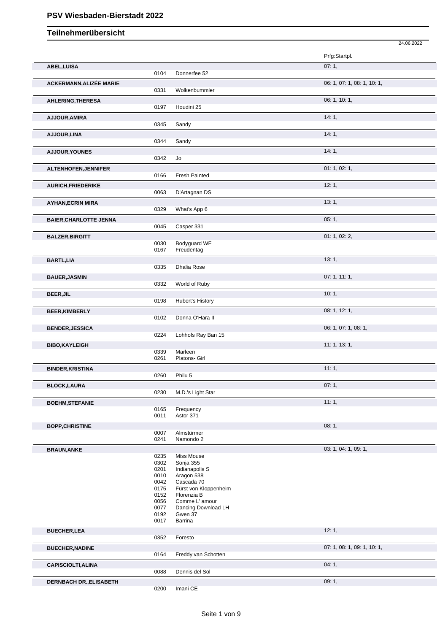|                                |              |                               | 24.06.2022                  |
|--------------------------------|--------------|-------------------------------|-----------------------------|
|                                |              |                               | Prfg:Startpl.               |
| ABEL, LUISA                    |              |                               | 07:1,                       |
|                                | 0104         | Donnerfee 52                  |                             |
| ACKERMANN, ALIZÉE MARIE        | 0331         | Wolkenbummler                 | 06: 1, 07: 1, 08: 1, 10: 1, |
| AHLERING, THERESA              | 0197         | Houdini 25                    | 06: 1, 10: 1,               |
| AJJOUR, AMIRA                  | 0345         | Sandy                         | 14:1,                       |
| AJJOUR, LINA                   |              |                               | 14:1,                       |
|                                | 0344         | Sandy                         |                             |
| AJJOUR, YOUNES                 | 0342         | Jo                            | 14:1,                       |
| ALTENHOFEN, JENNIFER           |              |                               | 01: 1, 02: 1,               |
|                                | 0166         | <b>Fresh Painted</b>          |                             |
| <b>AURICH, FRIEDERIKE</b>      | 0063         | D'Artagnan DS                 | 12:1,                       |
| <b>AYHAN, ECRIN MIRA</b>       | 0329         | What's App 6                  | 13:1,                       |
|                                |              |                               |                             |
| <b>BAIER, CHARLOTTE JENNA</b>  | 0045         | Casper 331                    | 05:1,                       |
| <b>BALZER, BIRGITT</b>         | 0030         | Bodyguard WF                  | 01: 1, 02: 2,               |
|                                | 0167         | Freudentag                    |                             |
| <b>BARTL,LIA</b>               |              |                               | 13:1,                       |
|                                | 0335         | Dhalia Rose                   |                             |
| <b>BAUER, JASMIN</b>           |              |                               | 07: 1, 11: 1,               |
|                                | 0332         | World of Ruby                 |                             |
| <b>BEER, JIL</b>               | 0198         | <b>Hubert's History</b>       | 10:1,                       |
| <b>BEER, KIMBERLY</b>          |              |                               | 08: 1, 12: 1,               |
|                                | 0102         | Donna O'Hara II               |                             |
| <b>BENDER, JESSICA</b>         |              |                               | 06: 1, 07: 1, 08: 1,        |
|                                | 0224         | Lohhofs Ray Ban 15            |                             |
| <b>BIBO,KAYLEIGH</b>           |              |                               | 11: 1, 13: 1,               |
|                                | 0339<br>0261 | Marleen<br>Platons- Girl      |                             |
| <b>BINDER, KRISTINA</b>        |              |                               | 11:1,                       |
|                                | 0260         | Philu 5                       |                             |
| <b>BLOCK,LAURA</b>             |              |                               | 07:1,                       |
|                                | 0230         | M.D.'s Light Star             |                             |
| <b>BOEHM, STEFANIE</b>         |              |                               | 11:1,                       |
|                                | 0165<br>0011 | Frequency<br>Astor 371        |                             |
| <b>BOPP, CHRISTINE</b>         |              |                               | 08:1,                       |
|                                | 0007         | Almstürmer                    |                             |
|                                | 0241         | Namondo 2                     |                             |
| <b>BRAUN, ANKE</b>             | 0235         | Miss Mouse                    | 03: 1, 04: 1, 09: 1,        |
|                                | 0302         | Sonja 355                     |                             |
|                                | 0201         | Indianapolis S                |                             |
|                                | 0010         | Aragon 538                    |                             |
|                                | 0042         | Cascada 70                    |                             |
|                                | 0175         | Fürst von Kloppenheim         |                             |
|                                | 0152<br>0056 | Florenzia B<br>Comme L' amour |                             |
|                                | 0077         | Dancing Download LH           |                             |
|                                | 0192         | Gwen 37                       |                             |
|                                | 0017         | Barrina                       |                             |
| <b>BUECHER, LEA</b>            |              |                               | 12:1,                       |
|                                | 0352         | Foresto                       |                             |
| <b>BUECHER, NADINE</b>         |              |                               | 07: 1, 08: 1, 09: 1, 10: 1, |
|                                | 0164         | Freddy van Schotten           |                             |
| <b>CAPISCIOLTI, ALINA</b>      |              |                               | 04:1,                       |
|                                | 0088         | Dennis del Sol                |                             |
| <b>DERNBACH DR., ELISABETH</b> | 0200         | Imani CE                      | 09:1,                       |
|                                |              |                               |                             |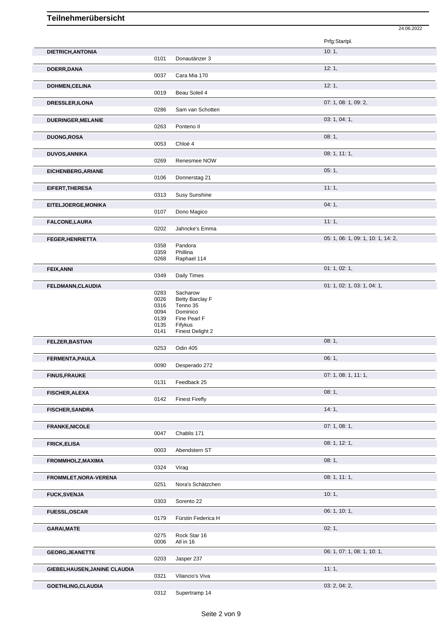|                              |              |                             | 24.06.2022                         |
|------------------------------|--------------|-----------------------------|------------------------------------|
|                              |              |                             | Prfg:Startpl.                      |
| DIETRICH, ANTONIA            |              |                             | 10:1,                              |
|                              | 0101         | Donautänzer 3               |                                    |
| DOERR, DANA                  | 0037         | Cara Mia 170                | 12:1,                              |
| <b>DOHMEN,CELINA</b>         |              |                             | 12:1,                              |
|                              | 0019         | Beau Soleil 4               |                                    |
| DRESSLER, ILONA              |              |                             | 07: 1, 08: 1, 09: 2,               |
|                              | 0286         | Sam van Schotten            |                                    |
| DUERINGER, MELANIE           | 0263         | Ponteno II                  | 03: 1, 04: 1,                      |
| <b>DUONG,ROSA</b>            |              |                             | 08:1,                              |
|                              | 0053         | Chloé 4                     |                                    |
| <b>DUVOS, ANNIKA</b>         |              |                             | 08: 1, 11: 1,                      |
|                              | 0269         | Renesmee NOW                |                                    |
| EICHENBERG, ARIANE           |              |                             | 05:1,                              |
|                              | 0106         | Donnerstag 21               |                                    |
| EIFERT, THERESA              |              |                             | 11:1,                              |
|                              | 0313         | Susy Sunshine               |                                    |
| EITELJOERGE, MONIKA          | 0107         | Dono Magico                 | 04:1,                              |
| <b>FALCONE, LAURA</b>        |              |                             | 11:1,                              |
|                              | 0202         | Jahncke's Emma              |                                    |
| FEGER, HENRIETTA             |              |                             | 05: 1, 06: 1, 09: 1, 10: 1, 14: 2, |
|                              | 0358         | Pandora                     |                                    |
|                              | 0359<br>0268 | Phillina<br>Raphael 114     |                                    |
|                              |              |                             | 01: 1, 02: 1,                      |
| FEIX, ANNI                   | 0349         | Daily Times                 |                                    |
| FELDMANN, CLAUDIA            |              |                             | 01: 1, 02: 1, 03: 1, 04: 1,        |
|                              | 0283         | Sacharow                    |                                    |
|                              | 0026         | Betty Barclay F             |                                    |
|                              | 0316<br>0094 | Tenno 35<br>Dominico        |                                    |
|                              | 0139         | Fine Pearl F                |                                    |
|                              | 0135<br>0141 | Fifykus<br>Finest Delight 2 |                                    |
| <b>FELZER, BASTIAN</b>       |              |                             | 08:1,                              |
|                              | 0253         | Odin 405                    |                                    |
| FERMENTA, PAULA              |              |                             | 06:1,                              |
|                              | 0090         | Desperado 272               |                                    |
| <b>FINUS, FRAUKE</b>         |              |                             | 07: 1, 08: 1, 11: 1,               |
|                              | 0131         | Feedback 25                 |                                    |
| <b>FISCHER, ALEXA</b>        |              |                             | 08:1,                              |
|                              | 0142         | <b>Finest Firefly</b>       |                                    |
| <b>FISCHER, SANDRA</b>       |              |                             | 14:1,                              |
| <b>FRANKE, NICOLE</b>        |              |                             | 07: 1, 08: 1,                      |
|                              | 0047         | Chablis 171                 |                                    |
| <b>FRICK, ELISA</b>          |              |                             | 08: 1, 12: 1,                      |
|                              | 0003         | Abendstern ST               |                                    |
| FROMMHOLZ, MAXIMA            |              |                             | 08:1,                              |
|                              | 0324         | Virag                       |                                    |
| FROMMLET, NORA-VERENA        |              |                             | 08:1, 11:1,                        |
|                              | 0251         | Nora's Schätzchen           |                                    |
| <b>FUCK, SVENJA</b>          | 0303         | Sorento 22                  | 10:1,                              |
|                              |              |                             | 06: 1, 10: 1,                      |
| <b>FUESSL, OSCAR</b>         | 0179         | Fürstin Federica H          |                                    |
| <b>GARAI, MATE</b>           |              |                             | 02:1,                              |
|                              | 0275         | Rock Star 16                |                                    |
|                              | 0006         | All in 16                   |                                    |
| <b>GEORG, JEANETTE</b>       |              |                             | 06: 1, 07: 1, 08: 1, 10: 1,        |
|                              | 0203         | Jasper 237                  |                                    |
| GIEBELHAUSEN, JANINE CLAUDIA | 0321         | Vilancio's Viva             | 11:1,                              |
|                              |              |                             | 03: 2, 04: 2,                      |
| GOETHLING, CLAUDIA           | 0312         | Supertramp 14               |                                    |
|                              |              |                             |                                    |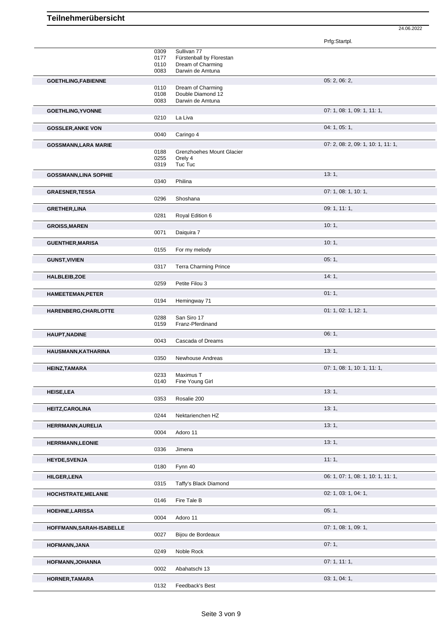24.06.2022

|                              |                              |                                                                                  | Prfg:Startpl.                      |
|------------------------------|------------------------------|----------------------------------------------------------------------------------|------------------------------------|
|                              | 0309<br>0177<br>0110<br>0083 | Sullivan 77<br>Fürstenball by Florestan<br>Dream of Charming<br>Darwin de Amtuna |                                    |
| <b>GOETHLING, FABIENNE</b>   | 0110<br>0108<br>0083         | Dream of Charming<br>Double Diamond 12<br>Darwin de Amtuna                       | 05: 2, 06: 2,                      |
| <b>GOETHLING, YVONNE</b>     | 0210                         | La Liva                                                                          | 07: 1, 08: 1, 09: 1, 11: 1,        |
| <b>GOSSLER, ANKE VON</b>     |                              |                                                                                  | 04: 1, 05: 1,                      |
|                              | 0040                         | Caringo 4                                                                        |                                    |
| <b>GOSSMANN, LARA MARIE</b>  | 0188<br>0255<br>0319         | Grenzhoehes Mount Glacier<br>Orely 4<br>Tuc Tuc                                  | 07: 2, 08: 2, 09: 1, 10: 1, 11: 1, |
| <b>GOSSMANN, LINA SOPHIE</b> | 0340                         | Philina                                                                          | 13:1,                              |
| <b>GRAESNER, TESSA</b>       |                              |                                                                                  | 07: 1, 08: 1, 10: 1,               |
| <b>GRETHER, LINA</b>         | 0296                         | Shoshana                                                                         | 09: 1, 11: 1,                      |
|                              | 0281                         | Royal Edition 6                                                                  |                                    |
| <b>GROISS, MAREN</b>         | 0071                         | Daiquira 7                                                                       | 10:1,                              |
| <b>GUENTHER, MARISA</b>      | 0155                         | For my melody                                                                    | 10:1,                              |
| <b>GUNST, VIVIEN</b>         |                              |                                                                                  | 05:1,                              |
|                              | 0317                         | <b>Terra Charming Prince</b>                                                     |                                    |
| <b>HALBLEIB, ZOE</b>         | 0259                         | Petite Filou 3                                                                   | 14:1,                              |
| <b>HAMEETEMAN, PETER</b>     | 0194                         | Hemingway 71                                                                     | 01:1,                              |
| HARENBERG, CHARLOTTE         |                              |                                                                                  | 01: 1, 02: 1, 12: 1,               |
|                              | 0288<br>0159                 | San Siro 17<br>Franz-Pferdinand                                                  |                                    |
| <b>HAUPT, NADINE</b>         | 0043                         | Cascada of Dreams                                                                | 06:1,                              |
| HAUSMANN, KATHARINA          |                              |                                                                                  | 13:1,                              |
| <b>HEINZ, TAMARA</b>         | 0350                         | Newhouse Andreas                                                                 | 07: 1, 08: 1, 10: 1, 11: 1,        |
|                              | 0233<br>0140                 | Maximus T<br>Fine Young Girl                                                     |                                    |
| <b>HEISE, LEA</b>            | 0353                         | Rosalie 200                                                                      | 13:1,                              |
| <b>HEITZ, CAROLINA</b>       | 0244                         | Nektarienchen HZ                                                                 | 13:1,                              |
| <b>HERRMANN, AURELIA</b>     | 0004                         | Adoro 11                                                                         | 13:1,                              |
| <b>HERRMANN,LEONIE</b>       | 0336                         | Jimena                                                                           | 13:1,                              |
| <b>HEYDE, SVENJA</b>         | 0180                         | Fynn 40                                                                          | 11:1,                              |
| <b>HILGER,LENA</b>           | 0315                         | Taffy's Black Diamond                                                            | 06: 1, 07: 1, 08: 1, 10: 1, 11: 1, |
| <b>HOCHSTRATE, MELANIE</b>   | 0146                         | Fire Tale B                                                                      | 02: 1, 03: 1, 04: 1,               |
| HOEHNE, LARISSA              | 0004                         | Adoro 11                                                                         | 05:1,                              |
| HOFFMANN, SARAH-ISABELLE     | 0027                         | Bijou de Bordeaux                                                                | 07: 1, 08: 1, 09: 1,               |
| <b>HOFMANN, JANA</b>         | 0249                         | Noble Rock                                                                       | 07:1,                              |
| HOFMANN, JOHANNA             | 0002                         | Abahatschi 13                                                                    | 07:1, 11:1,                        |
| HORNER, TAMARA               | 0132                         | Feedback's Best                                                                  | 03: 1, 04: 1,                      |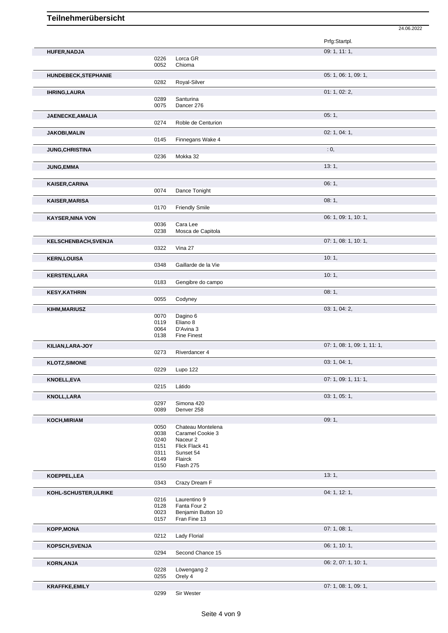|                         |              |                                    | 24.06.2022                  |
|-------------------------|--------------|------------------------------------|-----------------------------|
|                         |              |                                    | Prfg:Startpl.               |
| <b>HUFER, NADJA</b>     |              |                                    | 09: 1, 11: 1,               |
|                         | 0226         | Lorca GR                           |                             |
|                         | 0052         | Chioma                             |                             |
| HUNDEBECK, STEPHANIE    |              |                                    | 05: 1, 06: 1, 09: 1,        |
|                         | 0282         | Royal-Silver                       |                             |
| <b>IHRING, LAURA</b>    |              |                                    | 01: 1, 02: 2,               |
|                         | 0289         | Santurina                          |                             |
|                         | 0075         | Dancer 276                         |                             |
| JAENECKE, AMALIA        |              |                                    | 05:1,                       |
|                         | 0274         | Roble de Centurion                 |                             |
| <b>JAKOBI, MALIN</b>    |              |                                    | 02: 1, 04: 1,               |
|                         | 0145         | Finnegans Wake 4                   |                             |
|                         |              |                                    | $\cdot$ 0,                  |
| JUNG, CHRISTINA         | 0236         | Mokka 32                           |                             |
|                         |              |                                    |                             |
| JUNG, EMMA              |              |                                    | 13:1,                       |
|                         |              |                                    |                             |
| <b>KAISER, CARINA</b>   |              |                                    | 06:1,                       |
|                         | 0074         | Dance Tonight                      |                             |
| KAISER, MARISA          |              |                                    | 08:1,                       |
|                         | 0170         | <b>Friendly Smile</b>              |                             |
| <b>KAYSER, NINA VON</b> |              |                                    | 06: 1, 09: 1, 10: 1,        |
|                         | 0036         | Cara Lee                           |                             |
|                         | 0238         | Mosca de Capitola                  |                             |
| KELSCHENBACH, SVENJA    |              |                                    | 07: 1, 08: 1, 10: 1,        |
|                         | 0322         | Vina 27                            |                             |
|                         |              |                                    | 10:1,                       |
| <b>KERN, LOUISA</b>     | 0348         | Gaillarde de la Vie                |                             |
|                         |              |                                    |                             |
| <b>KERSTEN,LARA</b>     |              |                                    | 10:1,                       |
|                         | 0183         | Gengibre do campo                  |                             |
| <b>KESY, KATHRIN</b>    |              |                                    | 08:1,                       |
|                         | 0055         | Codyney                            |                             |
| KIHM, MARIUSZ           |              |                                    | 03: 1, 04: 2,               |
|                         | 0070         | Dagino 6                           |                             |
|                         | 0119         | Eliano 8                           |                             |
|                         | 0064<br>0138 | D'Avina 3<br><b>Fine Finest</b>    |                             |
|                         |              |                                    |                             |
| KILIAN, LARA-JOY        |              |                                    | 07: 1, 08: 1, 09: 1, 11: 1, |
|                         | 0273         | Riverdancer 4                      |                             |
| <b>KLOTZ, SIMONE</b>    |              |                                    | 03: 1, 04: 1,               |
|                         | 0229         | Lupo 122                           |                             |
| <b>KNOELL, EVA</b>      |              |                                    | 07: 1, 09: 1, 11: 1,        |
|                         | 0215         | Látido                             |                             |
| <b>KNOLL, LARA</b>      |              |                                    | 03: 1, 05: 1,               |
|                         | 0297         | Simona 420                         |                             |
|                         | 0089         | Denver 258                         |                             |
| KOCH, MIRIAM            |              |                                    | 09:1,                       |
|                         | 0050         | Chateau Montelena                  |                             |
|                         | 0038         | Caramel Cookie 3                   |                             |
|                         | 0240         | Naceur <sub>2</sub>                |                             |
|                         | 0151         | Flick Flack 41                     |                             |
|                         | 0311<br>0149 | Sunset 54<br>Flairck               |                             |
|                         | 0150         | Flash 275                          |                             |
|                         |              |                                    |                             |
| KOEPPEL, LEA            |              |                                    | 13:1,                       |
|                         | 0343         | Crazy Dream F                      |                             |
| KOHL-SCHUSTER, ULRIKE   |              |                                    | 04: 1, 12: 1,               |
|                         | 0216         | Laurentino 9                       |                             |
|                         | 0128<br>0023 | Fanta Four 2<br>Benjamin Button 10 |                             |
|                         | 0157         | Fran Fine 13                       |                             |
|                         |              |                                    |                             |
| <b>KOPP, MONA</b>       |              |                                    | 07: 1, 08: 1,               |
|                         | 0212         | <b>Lady Florial</b>                |                             |
| KOPSCH, SVENJA          |              |                                    | 06: 1, 10: 1,               |
|                         | 0294         | Second Chance 15                   |                             |
| <b>KORN, ANJA</b>       |              |                                    | 06: 2, 07: 1, 10: 1,        |
|                         | 0228         | Löwengang 2                        |                             |
|                         | 0255         | Orely 4                            |                             |
| <b>KRAFFKE, EMILY</b>   |              |                                    | 07: 1, 08: 1, 09: 1,        |
|                         | 0299         | Sir Wester                         |                             |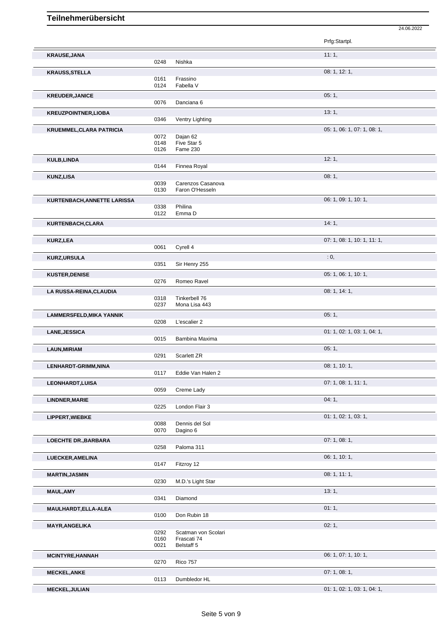|                                 |      |                       | Prfg:Startpl.               |
|---------------------------------|------|-----------------------|-----------------------------|
| <b>KRAUSE, JANA</b>             |      |                       | 11:1,                       |
|                                 | 0248 | Nishka                |                             |
| <b>KRAUSS, STELLA</b>           |      |                       | 08: 1, 12: 1,               |
|                                 | 0161 | Frassino              |                             |
|                                 | 0124 | Fabella V             |                             |
| <b>KREUDER, JANICE</b>          |      |                       | 05:1,                       |
|                                 | 0076 | Danciana <sub>6</sub> |                             |
| <b>KREUZPOINTNER,LIOBA</b>      |      |                       | 13:1,                       |
|                                 | 0346 | Ventry Lighting       |                             |
| <b>KRUEMMEL, CLARA PATRICIA</b> |      |                       | 05: 1, 06: 1, 07: 1, 08: 1, |
|                                 | 0072 | Dajan 62              |                             |
|                                 | 0148 | Five Star 5           |                             |
|                                 | 0126 | <b>Fame 230</b>       |                             |
| <b>KULB,LINDA</b>               |      |                       | 12:1,                       |
|                                 | 0144 | Finnea Royal          |                             |
| <b>KUNZ,LISA</b>                |      |                       | 08:1,                       |
|                                 | 0039 | Carenzos Casanova     |                             |
|                                 | 0130 | Faron O'Hesseln       |                             |
| KURTENBACH, ANNETTE LARISSA     |      |                       | 06: 1, 09: 1, 10: 1,        |
|                                 | 0338 | Philina               |                             |
|                                 | 0122 | Emma <sub>D</sub>     |                             |
| KURTENBACH, CLARA               |      |                       | 14:1,                       |
|                                 |      |                       |                             |
| <b>KURZ,LEA</b>                 |      |                       | 07: 1, 08: 1, 10: 1, 11: 1, |
|                                 | 0061 | Cyrell 4              |                             |
| <b>KURZ,URSULA</b>              |      |                       | : 0,                        |
|                                 | 0351 | Sir Henry 255         |                             |
| <b>KUSTER, DENISE</b>           |      |                       | 05: 1, 06: 1, 10: 1,        |
|                                 | 0276 | Romeo Ravel           |                             |
| LA RUSSA-REINA, CLAUDIA         |      |                       | 08: 1, 14: 1,               |
|                                 | 0318 | Tinkerbell 76         |                             |
|                                 | 0237 | Mona Lisa 443         |                             |
| <b>LAMMERSFELD, MIKA YANNIK</b> |      |                       | 05:1,                       |
|                                 | 0208 | L'escalier 2          |                             |
| <b>LANE, JESSICA</b>            |      |                       | 01: 1, 02: 1, 03: 1, 04: 1, |
|                                 | 0015 | Bambina Maxima        |                             |
| <b>LAUN, MIRIAM</b>             |      |                       | 05:1,                       |
|                                 | 0291 | Scarlett ZR           |                             |
| LENHARDT-GRIMM, NINA            |      |                       | 08: 1, 10: 1,               |
|                                 | 0117 | Eddie Van Halen 2     |                             |
| <b>LEONHARDT,LUISA</b>          |      |                       | 07: 1, 08: 1, 11: 1,        |
|                                 | 0059 | Creme Lady            |                             |
|                                 |      |                       | 04:1,                       |
| <b>LINDNER, MARIE</b>           | 0225 | London Flair 3        |                             |
|                                 |      |                       |                             |
| LIPPERT, WIEBKE                 | 0088 | Dennis del Sol        | 01: 1, 02: 1, 03: 1,        |
|                                 | 0070 | Dagino 6              |                             |
|                                 |      |                       | 07:1,08:1,                  |
| <b>LOECHTE DR., BARBARA</b>     | 0258 | Paloma 311            |                             |
|                                 |      |                       |                             |
| LUECKER, AMELINA                | 0147 | Fitzroy 12            | 06: 1, 10: 1,               |
|                                 |      |                       |                             |
| <b>MARTIN, JASMIN</b>           |      |                       | 08: 1, 11: 1,               |
|                                 | 0230 | M.D.'s Light Star     |                             |
| <b>MAUL, AMY</b>                |      |                       | 13:1,                       |
|                                 | 0341 | Diamond               |                             |
| MAULHARDT, ELLA-ALEA            |      |                       | 01:1,                       |
|                                 | 0100 | Don Rubin 18          |                             |
| <b>MAYR, ANGELIKA</b>           |      |                       | 02:1,                       |

24.06.2022

0292 Scatman von Scolari 0160 Frascati 74 0021 Belstaff 5 **MCINTYRE,HANNAH** 0270 Rico 757 Rico 757 Rico 757 **MECKEL,ANKE** 07: 1, 08: 1, 08: 1, 08: 1, 08: 1, 09: 1, 08: 1, 09: 1, 09: 1, 09: 1, 09: 1, 09: 1, 09: 1, 09: 1, 09: 1, 09: 1, 09: 1, 09: 1, 09: 1, 09: 07: 1, 08: 1, 09: 07: 1, 09: 07: 1, 09: 07: 1, 09: 07: 07: 07: 07: 07: Dumbledor HL **MECKEL,JULIAN** 01: 1, 02: 1, 03: 1, 04: 1,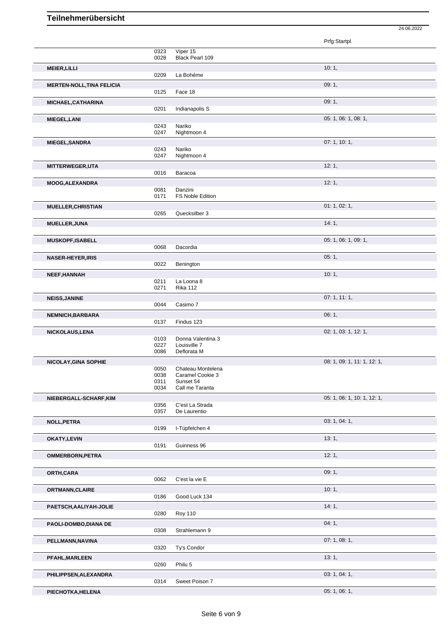|                                  |              |                                       | Prfg:Startpl.               |
|----------------------------------|--------------|---------------------------------------|-----------------------------|
|                                  | 0323<br>0028 | Viper 15<br>Black Pearl 109           |                             |
| <b>MEIER, LILLI</b>              | 0209         | La Bohéme                             | 10:1,                       |
| <b>MERTEN-NOLL, TINA FELICIA</b> | 0125         | Face 18                               | 09:1,                       |
| MICHAEL, CATHARINA               |              |                                       | 09:1,                       |
|                                  | 0201         | Indianapolis S                        | 05: 1, 06: 1, 08: 1,        |
| MIEGEL, LANI                     | 0243<br>0247 | Nariko<br>Nightmoon 4                 |                             |
| <b>MIEGEL, SANDRA</b>            |              |                                       | 07: 1, 10: 1,               |
|                                  | 0243<br>0247 | Nariko<br>Nightmoon 4                 |                             |
| <b>MITTERWEGER,UTA</b>           | 0016         | Baracoa                               | 12:1,                       |
| MOOG, ALEXANDRA                  |              |                                       | 12:1,                       |
|                                  | 0081<br>0171 | Danzini<br><b>FS Noble Edition</b>    |                             |
| <b>MUELLER, CHRISTIAN</b>        | 0265         | Quecksilber 3                         | 01: 1, 02: 1,               |
| <b>MUELLER, JUNA</b>             |              |                                       | 14:1,                       |
| <b>MUSKOPF, ISABELL</b>          | 0068         | Dacordia                              | 05: 1, 06: 1, 09: 1,        |
| <b>NASER-HEYER, IRIS</b>         |              |                                       | 05:1,                       |
|                                  | 0022         | Benington                             |                             |
| NEEF, HANNAH                     |              |                                       | 10:1,                       |
|                                  | 0211<br>0271 | La Loona 8<br><b>Rika 112</b>         |                             |
| <b>NEISS, JANINE</b>             | 0044         | Casimo 7                              | 07:1, 11:1,                 |
| NEMNICH, BARBARA                 |              |                                       | 06:1,                       |
|                                  | 0137         | Findus 123                            |                             |
| NICKOLAUS, LENA                  | 0103         | Donna Valentina 3                     | 02: 1, 03: 1, 12: 1,        |
|                                  | 0227<br>0086 | Louisville 7<br>Deflorata M           |                             |
| NICOLAY, GINA SOPHIE             |              |                                       | 08: 1, 09: 1, 11: 1, 12: 1, |
|                                  | 0050<br>0038 | Chateau Montelena<br>Caramel Cookie 3 |                             |
|                                  | 0311         | Sunset 54                             |                             |
|                                  | 0034         | Call me Taranta                       |                             |
| NIEBERGALL-SCHARF, KIM           | 0356         | C'est La Strada                       | 05: 1, 06: 1, 10: 1, 12: 1, |
|                                  | 0357         | De Laurentio                          |                             |
| NOLL, PETRA                      | 0199         | I-Tüpfelchen 4                        | 03: 1, 04: 1,               |
| <b>OKATY, LEVIN</b>              | 0191         | Guinness 96                           | 13:1,                       |
| <b>OMMERBORN, PETRA</b>          |              |                                       | 12:1,                       |
| ORTH, CARA                       |              |                                       | 09:1,                       |
|                                  | 0062         | C'est la vie E                        |                             |
| ORTMANN, CLAIRE                  | 0186         | Good Luck 134                         | 10:1,                       |
| PAETSCH, AALIYAH-JOLIE           | 0280         | <b>Roy 110</b>                        | 14:1,                       |
| PAOLI-DOMBO, DIANA DE            |              |                                       | 04:1,                       |
|                                  | 0308         | Strahlemann 9                         |                             |
| PELLMANN, NAVINA                 |              |                                       | 07: 1, 08: 1,               |
| PFAHL, MARLEEN                   | 0320         | Ty's Condor                           | 13:1,                       |
|                                  | 0260         | Philu 5                               |                             |
| PHILIPPSEN, ALEXANDRA            |              |                                       | 03: 1, 04: 1,               |
|                                  | 0314         | Sweet Poison 7                        |                             |
| PIECHOTKA, HELENA                |              |                                       | 05: 1, 06: 1,               |

24.06.2022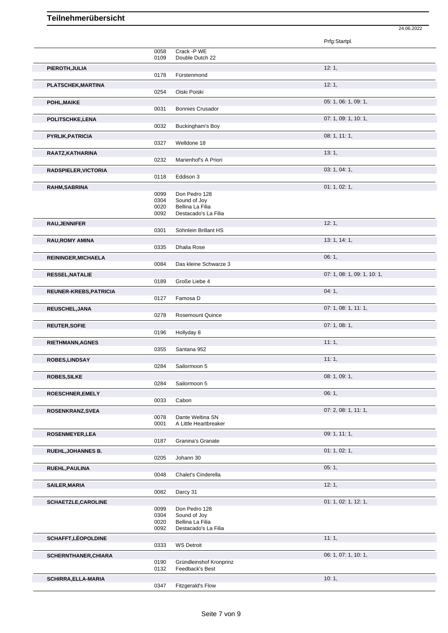|                               |              |                                            | Prfg:Startpl.               |  |
|-------------------------------|--------------|--------------------------------------------|-----------------------------|--|
|                               | 0058         | Crack -P WE                                |                             |  |
|                               | 0109         | Double Dutch 22                            |                             |  |
| PIEROTH, JULIA                |              |                                            | 12:1,                       |  |
|                               | 0178         | Fürstenmond                                |                             |  |
| PLATSCHEK, MARTINA            |              |                                            | 12:1,                       |  |
|                               | 0254         | Oiski Poiski                               |                             |  |
| POHL, MAIKE                   |              |                                            | 05: 1, 06: 1, 09: 1,        |  |
|                               | 0031         | <b>Bonnies Crusador</b>                    |                             |  |
|                               |              |                                            |                             |  |
| POLITSCHKE, LENA              |              |                                            | 07: 1, 09: 1, 10: 1,        |  |
|                               | 0032         | Buckingham's Boy                           |                             |  |
| PYRLIK, PATRICIA              |              |                                            | 08: 1, 11: 1,               |  |
|                               | 0327         | Welldone 18                                |                             |  |
| RAATZ, KATHARINA              |              |                                            | 13:1,                       |  |
|                               | 0232         | Marienhof's A Priori                       |                             |  |
| RADSPIELER, VICTORIA          |              |                                            | 03: 1, 04: 1,               |  |
|                               | 0118         | Eddison 3                                  |                             |  |
| <b>RAHM, SABRINA</b>          |              |                                            | 01: 1, 02: 1,               |  |
|                               | 0099         | Don Pedro 128                              |                             |  |
|                               | 0304         | Sound of Joy                               |                             |  |
|                               | 0020         | Bellina La Filia                           |                             |  |
|                               | 0092         | Destacado's La Filia                       |                             |  |
| <b>RAU, JENNIFER</b>          |              |                                            | 12:1,                       |  |
|                               | 0301         | Söhnlein Brillant HS                       |                             |  |
| <b>RAU, ROMY AMINA</b>        |              |                                            | 13: 1, 14: 1,               |  |
|                               | 0335         | Dhalia Rose                                |                             |  |
| <b>REININGER, MICHAELA</b>    |              |                                            | 06:1,                       |  |
|                               | 0084         | Das kleine Schwarze 3                      |                             |  |
| <b>RESSEL, NATALIE</b>        |              |                                            | 07: 1, 08: 1, 09: 1, 10: 1, |  |
|                               | 0189         | Große Liebe 4                              |                             |  |
| <b>REUNER-KREBS, PATRICIA</b> |              |                                            | 04:1,                       |  |
|                               | 0127         | Famosa D                                   |                             |  |
|                               |              |                                            | 07: 1, 08: 1, 11: 1,        |  |
| REUSCHEL, JANA                | 0278         | Rosemount Quince                           |                             |  |
|                               |              |                                            |                             |  |
| <b>REUTER, SOFIE</b>          | 0196         | Hollyday 8                                 | 07:1,08:1,                  |  |
|                               |              |                                            |                             |  |
| <b>RIETHMANN, AGNES</b>       | 0355         | Santana 952                                | 11:1,                       |  |
|                               |              |                                            |                             |  |
| <b>ROBES, LINDSAY</b>         |              |                                            | 11:1,                       |  |
|                               | 0284         | Sailormoon 5                               |                             |  |
| <b>ROBES, SILKE</b>           |              |                                            | 08: 1, 09: 1,               |  |
|                               | 0284         | Sailormoon 5                               |                             |  |
| ROESCHNER, EMELY              |              |                                            | 06:1,                       |  |
|                               | 0033         | Cabon                                      |                             |  |
| ROSENKRANZ, SVEA              |              |                                            | 07: 2, 08: 1, 11: 1,        |  |
|                               | 0078         | Dante Weltina SN                           |                             |  |
|                               | 0001         | A Little Heartbreaker                      |                             |  |
| ROSENMEYER, LEA               |              |                                            | 09: 1, 11: 1,               |  |
|                               | 0187         | Granina's Granate                          |                             |  |
| RUEHL, JOHANNES B.            |              |                                            | 01: 1, 02: 1,               |  |
|                               | 0205         | Johann 30                                  |                             |  |
|                               |              |                                            |                             |  |
|                               |              |                                            |                             |  |
| RUEHL, PAULINA                |              |                                            | 05:1,                       |  |
|                               | 0048         | Chalet's Cinderella                        |                             |  |
| SAILER, MARIA                 |              |                                            | 12:1,                       |  |
|                               | 0082         | Darcy 31                                   |                             |  |
| SCHAETZLE, CAROLINE           |              |                                            | 01: 1, 02: 1, 12: 1,        |  |
|                               | 0099         | Don Pedro 128                              |                             |  |
|                               | 0304<br>0020 | Sound of Joy<br>Bellina La Filia           |                             |  |
|                               | 0092         | Destacado's La Filia                       |                             |  |
|                               |              |                                            |                             |  |
| <b>SCHAFFT, LÉOPOLDINE</b>    |              |                                            | 11:1,                       |  |
|                               | 0333         | <b>WS Detroit</b>                          |                             |  |
| SCHERNTHANER, CHIARA          |              |                                            | 06: 1, 07: 1, 10: 1,        |  |
|                               | 0190<br>0132 | Gründleinshof Kronprinz<br>Feedback's Best |                             |  |
|                               |              |                                            |                             |  |
| <b>SCHIRRA, ELLA-MARIA</b>    | 0347         | Fitzgerald's Flow                          | 10:1,                       |  |

24.06.2022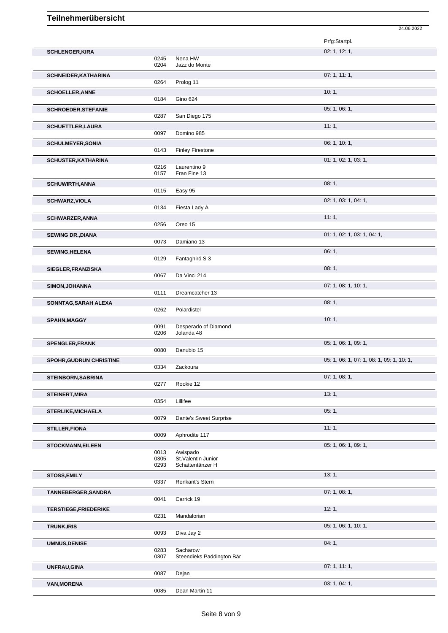|                             |      |                           | 24.06.2022                                |
|-----------------------------|------|---------------------------|-------------------------------------------|
|                             |      |                           | Prfg:Startpl.                             |
| <b>SCHLENGER, KIRA</b>      |      |                           | 02: 1, 12: 1,                             |
|                             | 0245 | Nena HW                   |                                           |
|                             | 0204 | Jazz do Monte             |                                           |
| <b>SCHNEIDER, KATHARINA</b> |      |                           | 07: 1, 11: 1,                             |
|                             | 0264 | Prolog 11                 |                                           |
|                             |      |                           | 10:1,                                     |
| <b>SCHOELLER, ANNE</b>      | 0184 | Gino 624                  |                                           |
|                             |      |                           |                                           |
| <b>SCHROEDER, STEFANIE</b>  | 0287 | San Diego 175             | 05: 1, 06: 1,                             |
|                             |      |                           |                                           |
| <b>SCHUETTLER, LAURA</b>    |      |                           | 11:1,                                     |
|                             | 0097 | Domino 985                |                                           |
| <b>SCHULMEYER, SONIA</b>    |      |                           | 06: 1, 10: 1,                             |
|                             | 0143 | <b>Finley Firestone</b>   |                                           |
| <b>SCHUSTER, KATHARINA</b>  |      |                           | 01: 1, 02: 1, 03: 1,                      |
|                             | 0216 | Laurentino 9              |                                           |
|                             | 0157 | Fran Fine 13              |                                           |
| <b>SCHUWIRTH, ANNA</b>      |      |                           | 08:1,                                     |
|                             | 0115 | Easy 95                   |                                           |
| <b>SCHWARZ, VIOLA</b>       |      |                           | 02: 1, 03: 1, 04: 1,                      |
|                             | 0134 | Fiesta Lady A             |                                           |
| <b>SCHWARZER, ANNA</b>      |      |                           | 11:1,                                     |
|                             | 0256 | Oreo 15                   |                                           |
|                             |      |                           | 01: 1, 02: 1, 03: 1, 04: 1,               |
| <b>SEWING DR., DIANA</b>    | 0073 | Damiano 13                |                                           |
|                             |      |                           |                                           |
| <b>SEWING, HELENA</b>       |      |                           | 06:1,                                     |
|                             | 0129 | Fantaghiró S 3            |                                           |
| SIEGLER, FRANZISKA          |      |                           | 08:1,                                     |
|                             | 0067 | Da Vinci 214              |                                           |
| <b>SIMON, JOHANNA</b>       |      |                           | 07: 1, 08: 1, 10: 1,                      |
|                             | 0111 | Dreamcatcher 13           |                                           |
| SONNTAG, SARAH ALEXA        |      |                           | 08:1,                                     |
|                             | 0262 | Polardistel               |                                           |
| <b>SPAHN, MAGGY</b>         |      |                           | 10:1,                                     |
|                             | 0091 | Desperado of Diamond      |                                           |
|                             | 0206 | Jolanda 48                |                                           |
| <b>SPENGLER, FRANK</b>      |      |                           | 05: 1, 06: 1, 09: 1,                      |
|                             | 0080 | Danubio 15                |                                           |
| SPOHR, GUDRUN CHRISTINE     |      |                           | 05: 1, 06: 1, 07: 1, 08: 1, 09: 1, 10: 1, |
|                             | 0334 | Zackoura                  |                                           |
| STEINBORN, SABRINA          |      |                           | 07:1,08:1,                                |
|                             | 0277 | Rookie 12                 |                                           |
|                             |      |                           |                                           |
| <b>STEINERT, MIRA</b>       |      |                           | 13:1,                                     |
|                             | 0354 | Lillifee                  |                                           |
| <b>STERLIKE, MICHAELA</b>   |      |                           | 05:1,                                     |
|                             | 0079 | Dante's Sweet Surprise    |                                           |
| <b>STILLER, FIONA</b>       |      |                           | 11:1,                                     |
|                             | 0009 | Aphrodite 117             |                                           |
| <b>STOCKMANN, EILEEN</b>    |      |                           | 05: 1, 06: 1, 09: 1,                      |
|                             | 0013 | Awispado                  |                                           |
|                             | 0305 | St. Valentin Junior       |                                           |
|                             | 0293 | Schattentänzer H          |                                           |
| <b>STOSS, EMILY</b>         |      |                           | 13:1,                                     |
|                             | 0337 | <b>Renkant's Stern</b>    |                                           |
| <b>TANNEBERGER, SANDRA</b>  |      |                           | 07:1,08:1,                                |
|                             | 0041 | Carrick 19                |                                           |
| <b>TERSTIEGE,FRIEDERIKE</b> |      |                           | 12:1,                                     |
|                             | 0231 | Mandalorian               |                                           |
| <b>TRUNK, IRIS</b>          |      |                           | 05: 1, 06: 1, 10: 1,                      |
|                             | 0093 | Diva Jay 2                |                                           |
|                             |      |                           |                                           |
| <b>UMNUS, DENISE</b>        | 0283 | Sacharow                  | 04:1,                                     |
|                             | 0307 | Steendieks Paddington Bär |                                           |
|                             |      |                           |                                           |
| UNFRAU, GINA                | 0087 | Dejan                     | 07:1, 11:1,                               |
|                             |      |                           |                                           |
| <b>VAN, MORENA</b>          |      |                           | 03: 1, 04: 1,                             |
|                             | 0085 | Dean Martin 11            |                                           |